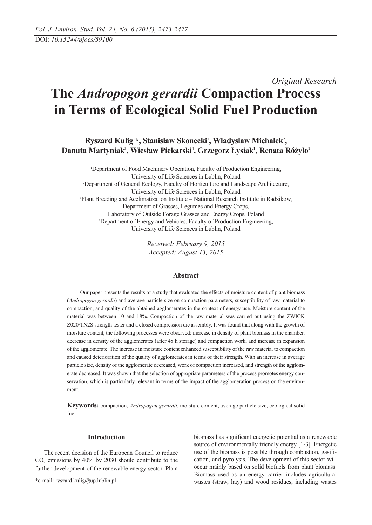# *Original Research* **The** *Andropogon gerardii* **Compaction Process in Terms of Ecological Solid Fuel Production**

Ryszard Kulig<sup>1\*</sup>, Stanisław Skonecki<sup>1</sup>, Władysław Michałek<sup>2</sup>, Danuta Martyniak<sup>3</sup>, Wiesław Piekarski<sup>4</sup>, Grzegorz Łysiak<sup>1</sup>, Renata Różyło<sup>1</sup>

1 Department of Food Machinery Operation, Faculty of Production Engineering, University of Life Sciences in Lublin, Poland 2 Department of General Ecology, Faculty of Horticulture and Landscape Architecture, University of Life Sciences in Lublin, Poland 3 Plant Breeding and Acclimatization Institute – National Research Institute in Radzikow, Department of Grasses, Legumes and Energy Crops, Laboratory of Outside Forage Grasses and Energy Crops, Poland 4 Department of Energy and Vehicles, Faculty of Production Engineering, University of Life Sciences in Lublin, Poland

> *Received: February 9, 2015 Accepted: August 13, 2015*

## **Abstract**

Our paper presents the results of a study that evaluated the effects of moisture content of plant biomass (*Andropogon gerardii*) and average particle size on compaction parameters, susceptibility of raw material to compaction, and quality of the obtained agglomerates in the context of energy use. Moisture content of the material was between 10 and 18%. Compaction of the raw material was carried out using the ZWICK Z020/TN2S strength tester and a closed compression die assembly. It was found that along with the growth of moisture content, the following processes were observed: increase in density of plant biomass in the chamber, decrease in density of the agglomerates (after 48 h storage) and compaction work, and increase in expansion of the agglomerate. The increase in moisture content enhanced susceptibility of the raw material to compaction and caused deterioration of the quality of agglomerates in terms of their strength. With an increase in average particle size, density of the agglomerate decreased, work of compaction increased, and strength of the agglomerate decreased. It was shown that the selection of appropriate parameters of the process promotes energy conservation, which is particularly relevant in terms of the impact of the agglomeration process on the environment.

**Keywords:** compaction, *Andropogon gerardii*, moisture content, average particle size, ecological solid fuel

#### **Introduction**

The recent decision of the European Council to reduce  $CO<sub>2</sub>$  emissions by 40% by 2030 should contribute to the further development of the renewable energy sector. Plant

biomass has significant energetic potential as a renewable source of environmentally friendly energy [1-3]. Energetic use of the biomass is possible through combustion, gasification, and pyrolysis. The development of this sector will occur mainly based on solid biofuels from plant biomass. Biomass used as an energy carrier includes agricultural wastes (straw, hay) and wood residues, including wastes

<sup>\*</sup>e-mail: ryszard.kulig@up.lublin.pl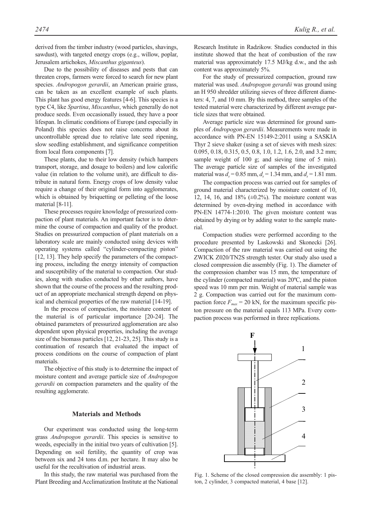derived from the timber industry (wood particles, shavings, sawdust), with targeted energy crops (e.g., willow, poplar, Jerusalem artichokes, *Miscanthus giganteus*).

Due to the possibility of diseases and pests that can threaten crops, farmers were forced to search for new plant species. *Andropogon gerardii*, an American prairie grass, can be taken as an excellent example of such plants. This plant has good energy features [4-6]. This species is a type C4, like *Spartina*, *Miscanthus*, which generally do not produce seeds. Even occasionally issued, they have a poor lifespan. In climatic conditions of Europe (and especially in Poland) this species does not raise concerns about its uncontrollable spread due to relative late seed ripening, slow seedling establishment, and significance competition from local flora components [7].

These plants, due to their low density (which hampers transport, storage, and dosage to boilers) and low calorific value (in relation to the volume unit), are difficult to distribute in natural form. Energy crops of low density value require a change of their original form into agglomerates, which is obtained by briquetting or pelleting of the loose material [8-11].

These processes require knowledge of pressurized compaction of plant materials. An important factor is to determine the course of compaction and quality of the product. Studies on pressurized compaction of plant materials on a laboratory scale are mainly conducted using devices with operating systems called "cylinder-compacting piston" [12, 13]. They help specify the parameters of the compacting process, including the energy intensity of compaction and susceptibility of the material to compaction. Our studies, along with studies conducted by other authors, have shown that the course of the process and the resulting product of an appropriate mechanical strength depend on physical and chemical properties of the raw material [14-19].

In the process of compaction, the moisture content of the material is of particular importance [20-24]. The obtained parameters of pressurized agglomeration are also dependent upon physical properties, including the average size of the biomass particles [12, 21-23, 25]. This study is a continuation of research that evaluated the impact of process conditions on the course of compaction of plant materials.

The objective of this study is to determine the impact of moisture content and average particle size of *Andropogon gerardii* on compaction parameters and the quality of the resulting agglomerate.

## **Materials and Methods**

Our experiment was conducted using the long-term grass *Andropogon gerardii*. This species is sensitive to weeds, especially in the initial two years of cultivation [5]. Depending on soil fertility, the quantity of crop was between six and 24 tons d.m. per hectare. It may also be useful for the recultivation of industrial areas.

In this study, the raw material was purchased from the Plant Breeding and Acclimatization Institute at the National Research Institute in Radzikow. Studies conducted in this institute showed that the heat of combustion of the raw material was approximately 17.5 MJ/kg d.w., and the ash content was approximately 5%.

For the study of pressurized compaction, ground raw material was used. *Andropogon gerardii* was ground using an H 950 shredder utilizing sieves of three different diameters: 4, 7, and 10 mm. By this method, three samples of the tested material were characterized by different average particle sizes that were obtained.

Average particle size was determined for ground samples of *Andropogon gerardii*. Measurements were made in accordance with PN-EN 15149-2:2011 using a SASKIA Thyr 2 sieve shaker (using a set of sieves with mesh sizes: 0.095, 0.18, 0.315, 0.5, 0.8, 1.0, 1.2, 1.6, 2.0, and 3.2 mm; sample weight of 100 g; and sieving time of 5 min). The average particle size of samples of the investigated material was  $d_s = 0.85$  mm,  $d_s = 1.34$  mm, and  $d_s = 1.81$  mm.

The compaction process was carried out for samples of ground material characterized by moisture content of 10, 12, 14, 16, and  $18\%$  ( $\pm 0.2\%$ ). The moisture content was determined by oven-drying method in accordance with PN-EN 14774-1:2010. The given moisture content was obtained by drying or by adding water to the sample material.

Compaction studies were performed according to the procedure presented by Laskowski and Skonecki [26]. Compaction of the raw material was carried out using the ZWICK Z020/TN2S strength tester. Our study also used a closed compression die assembly (Fig. 1). The diameter of the compression chamber was 15 mm, the temperature of the cylinder (compacted material) was 20ºC, and the piston speed was 10 mm per min. Weight of material sample was 2 g. Compaction was carried out for the maximum compaction force  $F_{max}$  = 20 kN, for the maximum specific piston pressure on the material equals 113 MPa. Every compaction process was performed in three replications.



Fig. 1. Scheme of the closed compression die assembly: 1 piston, 2 cylinder, 3 compacted material, 4 base [12].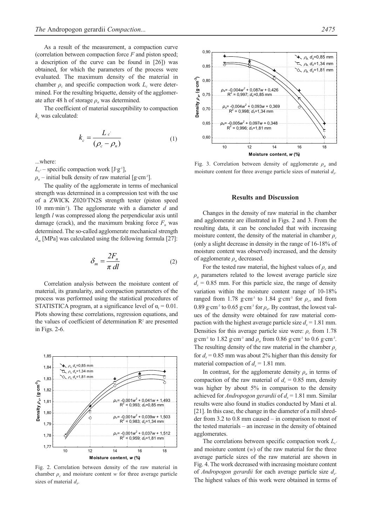The coefficient of material susceptibility to compaction  $k<sub>c</sub>$  was calculated:

$$
k_c = \frac{L_c}{(\rho_c - \rho_n)}
$$
 (1)

...where:

 $L_{c'}$  – specific compaction work  $[Jg^{-1}]$ ,

 $\rho_n$  – initial bulk density of raw material [g·cm<sup>-3</sup>].

The quality of the agglomerate in terms of mechanical strength was determined in a compression test with the use of a ZWICK Z020/TN2S strength tester (piston speed 10 mm·min-1). The agglomerate with a diameter *d* and length *l* was compressed along the perpendicular axis until damage (crack), and the maximum braking force  $F_n$  was determined. The so-called agglomerate mechanical strength *δm* [MPa] was calculated using the following formula [27]:

$$
\delta_m = \frac{2F_n}{\pi \, dl} \tag{2}
$$

Correlation analysis between the moisture content of material, its granularity, and compaction parameters of the process was performed using the statistical procedures of STATISTICA program, at a significance level of  $\alpha_i = 0.01$ . Plots showing these correlations, regression equations, and the values of coefficient of determination  $\mathbb{R}^2$  are presented in Figs. 2-6.



Fig. 2. Correlation between density of the raw material in chamber  $\rho_c$  and moisture content *w* for three average particle sizes of material  $d_s$ .



Fig. 3. Correlation between density of agglomerate  $\rho_a$  and moisture content for three average particle sizes of material  $d_s$ .

#### **Results and Discussion**

Changes in the density of raw material in the chamber and agglomerate are illustrated in Figs. 2 and 3. From the resulting data, it can be concluded that with increasing moisture content, the density of the material in chamber  $\rho_c$ (only a slight decrease in density in the range of 16-18% of moisture content was observed) increased, and the density of agglomerate *ρa* decreased.

For the tested raw material, the highest values of  $\rho_c$  and  $\rho_a$  parameters related to the lowest average particle size  $d<sub>s</sub> = 0.85$  mm. For this particle size, the range of density variation within the moisture content range of 10-18% ranged from 1.78 g·cm<sup>-3</sup> to 1.84 g·cm<sup>-3</sup> for  $\rho_c$ , and from 0.89 g·cm<sup>-3</sup> to 0.65 g·cm<sup>-3</sup> for  $\rho_a$ . By contrast, the lowest values of the density were obtained for raw material compaction with the highest average particle size  $d_s = 1.81$  mm. Densities for this average particle size were:  $\rho_c$  from 1.78 g·cm<sup>-3</sup> to 1.82 g·cm<sup>-3</sup> and  $\rho_a$  from 0.86 g·cm<sup>-3</sup> to 0.6 g·cm<sup>-3</sup>. The resulting density of the raw material in the chamber  $\rho_c$ for  $d_s = 0.85$  mm was about 2% higher than this density for material compaction of  $d_s = 1.81$  mm.

In contrast, for the agglomerate density  $\rho_a$  in terms of compaction of the raw material of  $d_s = 0.85$  mm, density was higher by about 5% in comparison to the density achieved for *Andropogon gerardii* of  $d_s = 1.81$  mm. Similar results were also found in studies conducted by Mani et al. [21]. In this case, the change in the diameter of a mill shredder from 3.2 to 0.8 mm caused – in comparison to most of the tested materials – an increase in the density of obtained agglomerates.

The correlations between specific compaction work  $L_c$ and moisture content (*w*) of the raw material for the three average particle sizes of the raw material are shown in Fig. 4. The work decreased with increasing moisture content of *Andropogon gerardii* for each average particle size *ds*. The highest values of this work were obtained in terms of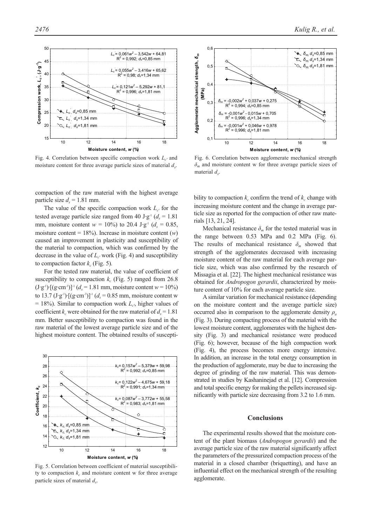

Fig. 4. Correlation between specific compaction work *Lc'* and moisture content for three average particle sizes of material  $d_s$ .

compaction of the raw material with the highest average particle size  $d<sub>s</sub> = 1.81$  mm.

The value of the specific compaction work  $L_c$  for the tested average particle size ranged from 40 J·g<sup>-1</sup> ( $d<sub>s</sub> = 1.81$ ) mm, moisture content  $w = 10\%$  to 20.4 J·g<sup>-1</sup> ( $d_s = 0.85$ , moisture content =  $18\%$ ). Increase in moisture content (*w*) caused an improvement in plasticity and susceptibility of the material to compaction, which was confirmed by the decrease in the value of  $L_{c'}$  work (Fig. 4) and susceptibility to compaction factor  $k_c$  (Fig. 5).

For the tested raw material, the value of coefficient of susceptibility to compaction  $k_c$  (Fig. 5) ranged from 26.8  $(J \cdot g^{-1}) \cdot [(g \cdot cm^{-3})]^{-1} (d_s = 1.81 \text{ mm})$ , moisture content  $w = 10\%$ ) to 13.7 (J·g<sup>-1</sup>)·[(g·cm<sup>-3</sup>)]<sup>-1</sup> ( $d_s$  = 0.85 mm, moisture content w  $= 18\%$ ). Similar to compaction work  $L_c$ <sup>t</sup>, higher values of coefficient  $k_c$  were obtained for the raw material of  $d_c = 1.81$ mm. Better susceptibility to compaction was found in the raw material of the lowest average particle size and of the highest moisture content. The obtained results of suscepti-



Fig. 5. Correlation between coefficient of material susceptibility to compaction  $k_c$  and moisture content w for three average particle sizes of material  $d_s$ .



Fig. 6. Correlation between agglomerate mechanical strength *δm* and moisture content w for three average particle sizes of material  $d_s$ .

bility to compaction  $k_c$  confirm the trend of  $k_c$  change with increasing moisture content and the change in average particle size as reported for the compaction of other raw materials [13, 21, 24].

Mechanical resistance  $\delta_m$  for the tested material was in the range between 0.53 MPa and 0.2 MPa (Fig. 6). The results of mechanical resistance  $\delta_m$  showed that strength of the agglomerates decreased with increasing moisture content of the raw material for each average particle size, which was also confirmed by the research of Missagia et al. [22]. The highest mechanical resistance was obtained for *Andropogon gerardii*, characterized by moisture content of 10% for each average particle size.

A similar variation for mechanical resistance (depending on the moisture content and the average particle size) occurred also in comparison to the agglomerate density  $\rho_a$ (Fig. 3). During compacting process of the material with the lowest moisture content, agglomerates with the highest density (Fig. 3) and mechanical resistance were produced (Fig. 6); however, because of the high compaction work (Fig. 4), the process becomes more energy intensive. In addition, an increase in the total energy consumption in the production of agglomerate, may be due to increasing the degree of grinding of the raw material. This was demonstrated in studies by Kashaninejad et al. [12]. Compression and total specific energy for making the pellets increased significantly with particle size decreasing from 3.2 to 1.6 mm.

#### **Conclusions**

The experimental results showed that the moisture content of the plant biomass (*Andropogon gerardii*) and the average particle size of the raw material significantly affect the parameters of the pressurized compaction process of the material in a closed chamber (briquetting), and have an influential effect on the mechanical strength of the resulting agglomerate.